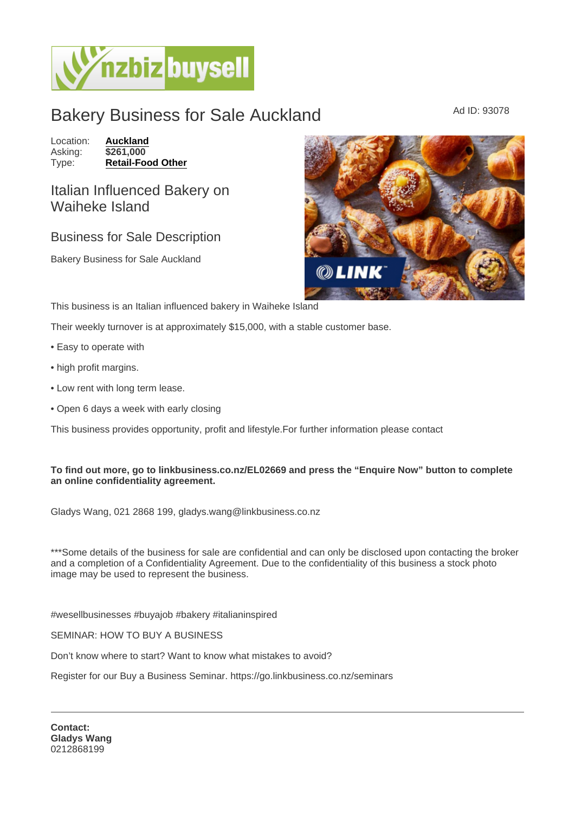## Bakery Business for Sale Auckland Ad ID: 93078

Location: [Auckland](https://www.nzbizbuysell.co.nz/businesses-for-sale/location/Auckland)<br>Asking: \$261,000 Asking:<br>Type: [Retail-Food Other](https://www.nzbizbuysell.co.nz/businesses-for-sale/Retail-Food--Beverage/New-Zealand)

Italian Influenced Bakery on Waiheke Island

## Business for Sale Description

Bakery Business for Sale Auckland

This business is an Italian influenced bakery in Waiheke Island

Their weekly turnover is at approximately \$15,000, with a stable customer base.

- Easy to operate with
- high profit margins.
- Low rent with long term lease.
- Open 6 days a week with early closing

This business provides opportunity, profit and lifestyle.For further information please contact

To find out more, go to linkbusiness.co.nz/EL02669 and press the "Enquire Now" button to complete an online confidentiality agreement.

Gladys Wang, 021 2868 199, gladys.wang@linkbusiness.co.nz

\*\*\*Some details of the business for sale are confidential and can only be disclosed upon contacting the broker and a completion of a Confidentiality Agreement. Due to the confidentiality of this business a stock photo image may be used to represent the business.

#wesellbusinesses #buyajob #bakery #italianinspired

SEMINAR: HOW TO BUY A BUSINESS

Don't know where to start? Want to know what mistakes to avoid?

Register for our Buy a Business Seminar. https://go.linkbusiness.co.nz/seminars

Contact: Gladys Wang 0212868199